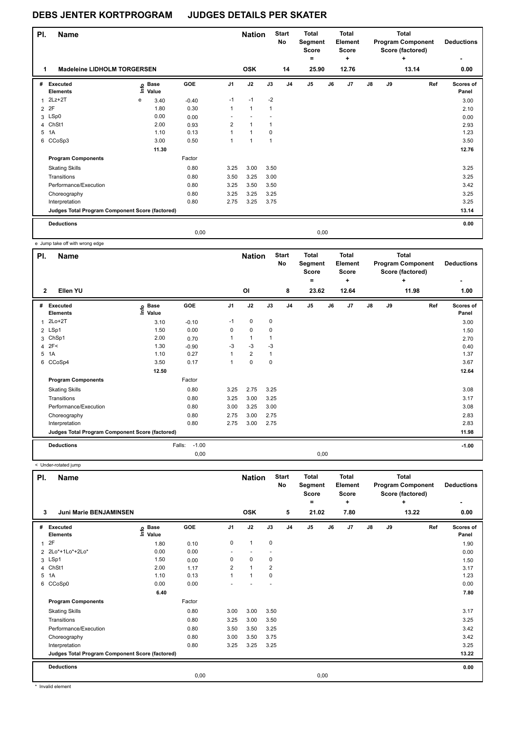| PI.            | <b>Name</b>                                     |    |                      |            |                | <b>Nation</b>  |                | <b>Start</b><br>No | <b>Total</b><br>Segment<br><b>Score</b><br>$=$ |    | <b>Total</b><br>Element<br><b>Score</b><br>÷ |               |    | <b>Total</b><br><b>Program Component</b><br>Score (factored)<br>÷ | <b>Deductions</b>  |
|----------------|-------------------------------------------------|----|----------------------|------------|----------------|----------------|----------------|--------------------|------------------------------------------------|----|----------------------------------------------|---------------|----|-------------------------------------------------------------------|--------------------|
|                | <b>Madeleine LIDHOLM TORGERSEN</b>              |    |                      |            |                | <b>OSK</b>     |                | 14                 | 25.90                                          |    | 12.76                                        |               |    | 13.14                                                             | 0.00               |
| #              | Executed<br><b>Elements</b>                     | ١m | <b>Base</b><br>Value | <b>GOE</b> | J <sub>1</sub> | J2             | J3             | J <sub>4</sub>     | J <sub>5</sub>                                 | J6 | J <sub>7</sub>                               | $\mathsf{J}8$ | J9 | Ref                                                               | Scores of<br>Panel |
| 1              | $2Lz+2T$                                        | e  | 3.40                 | $-0.40$    | $-1$           | $-1$           | $-2$           |                    |                                                |    |                                              |               |    |                                                                   | 3.00               |
| $\overline{2}$ | 2F                                              |    | 1.80                 | 0.30       | 1              | $\mathbf{1}$   | 1              |                    |                                                |    |                                              |               |    |                                                                   | 2.10               |
| 3              | LSp0                                            |    | 0.00                 | 0.00       |                |                |                |                    |                                                |    |                                              |               |    |                                                                   | 0.00               |
| 4              | ChSt1                                           |    | 2.00                 | 0.93       | $\overline{2}$ | $\mathbf{1}$   | 1              |                    |                                                |    |                                              |               |    |                                                                   | 2.93               |
| 5              | 1A                                              |    | 1.10                 | 0.13       | 1              | $\mathbf{1}$   | 0              |                    |                                                |    |                                              |               |    |                                                                   | 1.23               |
|                | 6 CCoSp3                                        |    | 3.00                 | 0.50       | 1              | $\overline{1}$ | $\overline{1}$ |                    |                                                |    |                                              |               |    |                                                                   | 3.50               |
|                |                                                 |    | 11.30                |            |                |                |                |                    |                                                |    |                                              |               |    |                                                                   | 12.76              |
|                | <b>Program Components</b>                       |    |                      | Factor     |                |                |                |                    |                                                |    |                                              |               |    |                                                                   |                    |
|                | <b>Skating Skills</b>                           |    |                      | 0.80       | 3.25           | 3.00           | 3.50           |                    |                                                |    |                                              |               |    |                                                                   | 3.25               |
|                | Transitions                                     |    |                      | 0.80       | 3.50           | 3.25           | 3.00           |                    |                                                |    |                                              |               |    |                                                                   | 3.25               |
|                | Performance/Execution                           |    |                      | 0.80       | 3.25           | 3.50           | 3.50           |                    |                                                |    |                                              |               |    |                                                                   | 3.42               |
|                | Choreography                                    |    |                      | 0.80       | 3.25           | 3.25           | 3.25           |                    |                                                |    |                                              |               |    |                                                                   | 3.25               |
|                | Interpretation                                  |    |                      | 0.80       | 2.75           | 3.25           | 3.75           |                    |                                                |    |                                              |               |    |                                                                   | 3.25               |
|                | Judges Total Program Component Score (factored) |    |                      |            |                |                |                |                    |                                                |    |                                              |               |    |                                                                   | 13.14              |
|                | <b>Deductions</b>                               |    |                      |            |                |                |                |                    |                                                |    |                                              |               |    |                                                                   | 0.00               |
|                |                                                 |    |                      | 0,00       |                |                |                |                    | 0,00                                           |    |                                              |               |    |                                                                   |                    |

e Jump take off with wrong edge

| PI.            | <b>Name</b>                                     |                            |                   |                | <b>Nation</b>  |              | <b>Start</b><br>No | <b>Total</b><br>Segment<br>Score<br>= |    | <b>Total</b><br>Element<br><b>Score</b><br>÷ |    |    | Total<br><b>Program Component</b><br>Score (factored)<br>÷ | <b>Deductions</b>  |
|----------------|-------------------------------------------------|----------------------------|-------------------|----------------|----------------|--------------|--------------------|---------------------------------------|----|----------------------------------------------|----|----|------------------------------------------------------------|--------------------|
| $\mathbf{2}$   | Ellen YU                                        |                            |                   |                | OI             |              | 8                  | 23.62                                 |    | 12.64                                        |    |    | 11.98                                                      | 1.00               |
| #              | Executed<br><b>Elements</b>                     | e Base<br>E Value<br>Value | GOE               | J <sub>1</sub> | J2             | J3           | J <sub>4</sub>     | J <sub>5</sub>                        | J6 | J7                                           | J8 | J9 | Ref                                                        | Scores of<br>Panel |
| $\overline{1}$ | $2Lo+2T$                                        | 3.10                       | $-0.10$           | $-1$           | 0              | 0            |                    |                                       |    |                                              |    |    |                                                            | 3.00               |
|                | 2 LSp1                                          | 1.50                       | 0.00              | 0              | $\mathbf 0$    | 0            |                    |                                       |    |                                              |    |    |                                                            | 1.50               |
| 3              | ChSp1                                           | 2.00                       | 0.70              |                | $\mathbf{1}$   |              |                    |                                       |    |                                              |    |    |                                                            | 2.70               |
|                | 4 2F<                                           | 1.30                       | $-0.90$           | $-3$           | $-3$           | $-3$         |                    |                                       |    |                                              |    |    |                                                            | 0.40               |
|                | 5 1A                                            | 1.10                       | 0.27              | 1              | $\overline{2}$ | $\mathbf{1}$ |                    |                                       |    |                                              |    |    |                                                            | 1.37               |
| 6              | CCoSp4                                          | 3.50                       | 0.17              | 1              | $\mathbf 0$    | 0            |                    |                                       |    |                                              |    |    |                                                            | 3.67               |
|                |                                                 | 12.50                      |                   |                |                |              |                    |                                       |    |                                              |    |    |                                                            | 12.64              |
|                | <b>Program Components</b>                       |                            | Factor            |                |                |              |                    |                                       |    |                                              |    |    |                                                            |                    |
|                | <b>Skating Skills</b>                           |                            | 0.80              | 3.25           | 2.75           | 3.25         |                    |                                       |    |                                              |    |    |                                                            | 3.08               |
|                | Transitions                                     |                            | 0.80              | 3.25           | 3.00           | 3.25         |                    |                                       |    |                                              |    |    |                                                            | 3.17               |
|                | Performance/Execution                           |                            | 0.80              | 3.00           | 3.25           | 3.00         |                    |                                       |    |                                              |    |    |                                                            | 3.08               |
|                | Choreography                                    |                            | 0.80              | 2.75           | 3.00           | 2.75         |                    |                                       |    |                                              |    |    |                                                            | 2.83               |
|                | Interpretation                                  |                            | 0.80              | 2.75           | 3.00           | 2.75         |                    |                                       |    |                                              |    |    |                                                            | 2.83               |
|                | Judges Total Program Component Score (factored) |                            |                   |                |                |              |                    |                                       |    |                                              |    |    |                                                            | 11.98              |
|                | <b>Deductions</b>                               |                            | $-1.00$<br>Falls: |                |                |              |                    |                                       |    |                                              |    |    |                                                            | $-1.00$            |
|                |                                                 |                            | 0.00              |                |                |              |                    | 0,00                                  |    |                                              |    |    |                                                            |                    |

< Under-rotated jump

| PI.            | Name                                            |                              |        |                | <b>Nation</b>            |             | <b>Start</b><br>No | <b>Total</b><br>Segment<br><b>Score</b><br>٠ |      | <b>Total</b><br>Element<br><b>Score</b><br>+ |               |    | <b>Total</b><br><b>Program Component</b><br>Score (factored)<br>÷ | <b>Deductions</b>  |
|----------------|-------------------------------------------------|------------------------------|--------|----------------|--------------------------|-------------|--------------------|----------------------------------------------|------|----------------------------------------------|---------------|----|-------------------------------------------------------------------|--------------------|
| 3              | <b>Juni Marie BENJAMINSEN</b>                   |                              |        |                | <b>OSK</b>               |             | 5                  | 21.02                                        |      | 7.80                                         |               |    | 13.22                                                             | 0.00               |
| #              | Executed<br><b>Elements</b>                     | <b>Base</b><br>lnfo<br>Value | GOE    | J <sub>1</sub> | J2                       | J3          | J <sub>4</sub>     | J <sub>5</sub>                               | J6   | J7                                           | $\mathsf{J}8$ | J9 | Ref                                                               | Scores of<br>Panel |
| $\overline{1}$ | 2F                                              | 1.80                         | 0.10   | 0              | $\mathbf{1}$             | $\mathbf 0$ |                    |                                              |      |                                              |               |    |                                                                   | 1.90               |
|                | 2 2Lo*+1Lo*+2Lo*                                | 0.00                         | 0.00   | ٠              | $\overline{\phantom{a}}$ |             |                    |                                              |      |                                              |               |    |                                                                   | 0.00               |
|                | 3 LSp1                                          | 1.50                         | 0.00   | 0              | $\mathbf 0$              | 0           |                    |                                              |      |                                              |               |    |                                                                   | 1.50               |
| 4              | ChSt1                                           | 2.00                         | 1.17   | $\overline{2}$ | $\overline{1}$           | 2           |                    |                                              |      |                                              |               |    |                                                                   | 3.17               |
| 5              | 1A                                              | 1.10                         | 0.13   | 1              | $\overline{1}$           | 0           |                    |                                              |      |                                              |               |    |                                                                   | 1.23               |
| 6              | CCoSp0                                          | 0.00                         | 0.00   |                |                          |             |                    |                                              |      |                                              |               |    |                                                                   | 0.00               |
|                |                                                 | 6.40                         |        |                |                          |             |                    |                                              |      |                                              |               |    |                                                                   | 7.80               |
|                | <b>Program Components</b>                       |                              | Factor |                |                          |             |                    |                                              |      |                                              |               |    |                                                                   |                    |
|                | <b>Skating Skills</b>                           |                              | 0.80   | 3.00           | 3.00                     | 3.50        |                    |                                              |      |                                              |               |    |                                                                   | 3.17               |
|                | Transitions                                     |                              | 0.80   | 3.25           | 3.00                     | 3.50        |                    |                                              |      |                                              |               |    |                                                                   | 3.25               |
|                | Performance/Execution                           |                              | 0.80   | 3.50           | 3.50                     | 3.25        |                    |                                              |      |                                              |               |    |                                                                   | 3.42               |
|                | Choreography                                    |                              | 0.80   | 3.00           | 3.50                     | 3.75        |                    |                                              |      |                                              |               |    |                                                                   | 3.42               |
|                | Interpretation                                  |                              | 0.80   | 3.25           | 3.25                     | 3.25        |                    |                                              |      |                                              |               |    |                                                                   | 3.25               |
|                | Judges Total Program Component Score (factored) |                              |        |                |                          |             |                    |                                              |      |                                              |               |    |                                                                   | 13.22              |
|                | <b>Deductions</b>                               |                              |        |                |                          |             |                    |                                              |      |                                              |               |    |                                                                   | 0.00               |
|                |                                                 |                              | 0,00   |                |                          |             |                    |                                              | 0,00 |                                              |               |    |                                                                   |                    |

\* Invalid element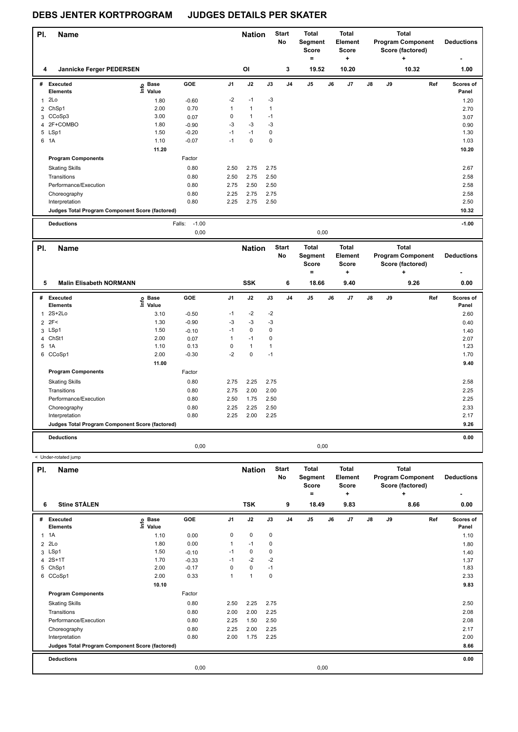< Under-rotated jump

### **DEBS JENTER KORTPROGRAM JUDGES DETAILS PER SKATER**

| PI. | <b>Name</b>                                     |                                  |                   |              | <b>Nation</b> |                | <b>Start</b><br>No | <b>Total</b><br>Segment<br><b>Score</b><br>٠ |    | <b>Total</b><br>Element<br><b>Score</b><br>٠ |    |    | <b>Total</b><br><b>Program Component</b><br>Score (factored)<br>٠ |     | <b>Deductions</b>  |
|-----|-------------------------------------------------|----------------------------------|-------------------|--------------|---------------|----------------|--------------------|----------------------------------------------|----|----------------------------------------------|----|----|-------------------------------------------------------------------|-----|--------------------|
| 4   | Jannicke Ferger PEDERSEN                        |                                  |                   |              | OI            |                | 3                  | 19.52                                        |    | 10.20                                        |    |    | 10.32                                                             |     | 1.00               |
| #   | Executed<br><b>Elements</b>                     | <b>Base</b><br>e Base<br>E Value | GOE               | J1           | J2            | J3             | J <sub>4</sub>     | J <sub>5</sub>                               | J6 | J7                                           | J8 | J9 |                                                                   | Ref | Scores of<br>Panel |
| 1   | 2Lo                                             | 1.80                             | $-0.60$           | $-2$         | $-1$          | $-3$           |                    |                                              |    |                                              |    |    |                                                                   |     | 1.20               |
|     | 2 ChSp1                                         | 2.00                             | 0.70              | $\mathbf{1}$ | $\mathbf{1}$  | $\overline{1}$ |                    |                                              |    |                                              |    |    |                                                                   |     | 2.70               |
|     | 3 CCoSp3                                        | 3.00                             | 0.07              | 0            | $\mathbf{1}$  | $-1$           |                    |                                              |    |                                              |    |    |                                                                   |     | 3.07               |
|     | 4 2F+COMBO                                      | 1.80                             | $-0.90$           | $-3$         | $-3$          | $-3$           |                    |                                              |    |                                              |    |    |                                                                   |     | 0.90               |
|     | 5 LSp1                                          | 1.50                             | $-0.20$           | $-1$         | $-1$          | 0              |                    |                                              |    |                                              |    |    |                                                                   |     | 1.30               |
|     | 6 1A                                            | 1.10                             | $-0.07$           | $-1$         | $\mathbf 0$   | $\pmb{0}$      |                    |                                              |    |                                              |    |    |                                                                   |     | 1.03               |
|     |                                                 | 11.20                            |                   |              |               |                |                    |                                              |    |                                              |    |    |                                                                   |     | 10.20              |
|     | <b>Program Components</b>                       |                                  | Factor            |              |               |                |                    |                                              |    |                                              |    |    |                                                                   |     |                    |
|     | <b>Skating Skills</b>                           |                                  | 0.80              | 2.50         | 2.75          | 2.75           |                    |                                              |    |                                              |    |    |                                                                   |     | 2.67               |
|     | Transitions                                     |                                  | 0.80              | 2.50         | 2.75          | 2.50           |                    |                                              |    |                                              |    |    |                                                                   |     | 2.58               |
|     | Performance/Execution                           |                                  | 0.80              | 2.75         | 2.50          | 2.50           |                    |                                              |    |                                              |    |    |                                                                   |     | 2.58               |
|     | Choreography                                    |                                  | 0.80              | 2.25         | 2.75          | 2.75           |                    |                                              |    |                                              |    |    |                                                                   |     | 2.58               |
|     | Interpretation                                  |                                  | 0.80              | 2.25         | 2.75          | 2.50           |                    |                                              |    |                                              |    |    |                                                                   |     | 2.50               |
|     | Judges Total Program Component Score (factored) |                                  |                   |              |               |                |                    |                                              |    |                                              |    |    |                                                                   |     | 10.32              |
|     | <b>Deductions</b>                               |                                  | $-1.00$<br>Falls: |              |               |                |                    |                                              |    |                                              |    |    |                                                                   |     | $-1.00$            |
|     |                                                 |                                  | 0,00              |              |               |                |                    | 0,00                                         |    |                                              |    |    |                                                                   |     |                    |
| PI. | <b>Name</b>                                     |                                  |                   |              | <b>Nation</b> |                | <b>Start</b>       | <b>Total</b>                                 |    | <b>Total</b>                                 |    |    | <b>Total</b>                                                      |     |                    |

| PI. | <b>Name</b>                                     |                            |         |                | <b>Nation</b> |             | <b>Start</b><br>No | <b>Total</b><br>Segment<br><b>Score</b><br>= | <b>Total</b><br>Element<br><b>Score</b><br>÷ |    |    | <b>Total</b><br><b>Program Component</b><br>Score (factored)<br>٠ | <b>Deductions</b>  |
|-----|-------------------------------------------------|----------------------------|---------|----------------|---------------|-------------|--------------------|----------------------------------------------|----------------------------------------------|----|----|-------------------------------------------------------------------|--------------------|
| 5   | <b>Malin Elisabeth NORMANN</b>                  |                            |         |                | <b>SSK</b>    |             | 6                  | 18.66                                        | 9.40                                         |    |    | 9.26                                                              | 0.00               |
| #   | <b>Executed</b><br><b>Elements</b>              | e Base<br>E Value<br>Value | GOE     | J <sub>1</sub> | J2            | J3          | J <sub>4</sub>     | J5                                           | J6<br>J7                                     | J8 | J9 | Ref                                                               | Scores of<br>Panel |
| 1   | $2S+2Lo$                                        | 3.10                       | $-0.50$ | $-1$           | $-2$          | $-2$        |                    |                                              |                                              |    |    |                                                                   | 2.60               |
|     | $2$ 2F<                                         | 1.30                       | $-0.90$ | $-3$           | $-3$          | $-3$        |                    |                                              |                                              |    |    |                                                                   | 0.40               |
|     | 3 LSp1                                          | 1.50                       | $-0.10$ | $-1$           | $\mathbf 0$   | 0           |                    |                                              |                                              |    |    |                                                                   | 1.40               |
|     | 4 ChSt1                                         | 2.00                       | 0.07    |                | $-1$          | $\mathbf 0$ |                    |                                              |                                              |    |    |                                                                   | 2.07               |
|     | 5 1A                                            | 1.10                       | 0.13    | $\Omega$       | $\mathbf{1}$  |             |                    |                                              |                                              |    |    |                                                                   | 1.23               |
| 6   | CCoSp1                                          | 2.00                       | $-0.30$ | $-2$           | $\pmb{0}$     | $-1$        |                    |                                              |                                              |    |    |                                                                   | 1.70               |
|     |                                                 | 11.00                      |         |                |               |             |                    |                                              |                                              |    |    |                                                                   | 9.40               |
|     | <b>Program Components</b>                       |                            | Factor  |                |               |             |                    |                                              |                                              |    |    |                                                                   |                    |
|     | <b>Skating Skills</b>                           |                            | 0.80    | 2.75           | 2.25          | 2.75        |                    |                                              |                                              |    |    |                                                                   | 2.58               |
|     | Transitions                                     |                            | 0.80    | 2.75           | 2.00          | 2.00        |                    |                                              |                                              |    |    |                                                                   | 2.25               |
|     | Performance/Execution                           |                            | 0.80    | 2.50           | 1.75          | 2.50        |                    |                                              |                                              |    |    |                                                                   | 2.25               |
|     | Choreography                                    |                            | 0.80    | 2.25           | 2.25          | 2.50        |                    |                                              |                                              |    |    |                                                                   | 2.33               |
|     | Interpretation                                  |                            | 0.80    | 2.25           | 2.00          | 2.25        |                    |                                              |                                              |    |    |                                                                   | 2.17               |
|     | Judges Total Program Component Score (factored) |                            |         |                |               |             |                    |                                              |                                              |    |    |                                                                   | 9.26               |
|     | <b>Deductions</b>                               |                            |         |                |               |             |                    |                                              |                                              |    |    |                                                                   | 0.00               |
|     |                                                 |                            | 0,00    |                |               |             |                    | 0,00                                         |                                              |    |    |                                                                   |                    |

| PI. | Name                                            |                            |         |                | <b>Nation</b>        |      | <b>Start</b><br><b>No</b> | Total<br>Segment<br><b>Score</b> |    | Total<br>Element<br><b>Score</b> |               |    | <b>Total</b><br><b>Program Component</b><br>Score (factored) | <b>Deductions</b>  |
|-----|-------------------------------------------------|----------------------------|---------|----------------|----------------------|------|---------------------------|----------------------------------|----|----------------------------------|---------------|----|--------------------------------------------------------------|--------------------|
|     | <b>Stine STÅLEN</b><br>6                        |                            |         |                | <b>TSK</b>           |      | 9                         | ۰<br>18.49                       |    | ÷<br>9.83                        |               |    | ÷<br>8.66                                                    | 0.00               |
|     |                                                 |                            |         |                |                      |      |                           |                                  |    |                                  |               |    |                                                              |                    |
|     | # Executed<br><b>Elements</b>                   | e Base<br>E Value<br>Value | GOE     | J <sub>1</sub> | J2                   | J3   | J <sub>4</sub>            | J5                               | J6 | J7                               | $\mathsf{J}8$ | J9 | Ref                                                          | Scores of<br>Panel |
|     | $1 \t1A$                                        | 1.10                       | 0.00    | 0              | $\pmb{0}$            | 0    |                           |                                  |    |                                  |               |    |                                                              | 1.10               |
|     | 2 2Lo                                           | 1.80                       | 0.00    | 1              | $-1$                 | 0    |                           |                                  |    |                                  |               |    |                                                              | 1.80               |
|     | 3 LSp1                                          | 1.50                       | $-0.10$ | $-1$           | 0                    | 0    |                           |                                  |    |                                  |               |    |                                                              | 1.40               |
|     | 4 2S+1T                                         | 1.70                       | $-0.33$ | $-1$           | $-2$                 | $-2$ |                           |                                  |    |                                  |               |    |                                                              | 1.37               |
|     | 5 ChSp1                                         | 2.00                       | $-0.17$ | 0              | $\mathbf 0$          | $-1$ |                           |                                  |    |                                  |               |    |                                                              | 1.83               |
|     | 6 CCoSp1                                        | 2.00                       | 0.33    | 1              | $\blacktriangleleft$ | 0    |                           |                                  |    |                                  |               |    |                                                              | 2.33               |
|     |                                                 | 10.10                      |         |                |                      |      |                           |                                  |    |                                  |               |    |                                                              | 9.83               |
|     | <b>Program Components</b>                       |                            | Factor  |                |                      |      |                           |                                  |    |                                  |               |    |                                                              |                    |
|     | <b>Skating Skills</b>                           |                            | 0.80    | 2.50           | 2.25                 | 2.75 |                           |                                  |    |                                  |               |    |                                                              | 2.50               |
|     | Transitions                                     |                            | 0.80    | 2.00           | 2.00                 | 2.25 |                           |                                  |    |                                  |               |    |                                                              | 2.08               |
|     | Performance/Execution                           |                            | 0.80    | 2.25           | 1.50                 | 2.50 |                           |                                  |    |                                  |               |    |                                                              | 2.08               |
|     | Choreography                                    |                            | 0.80    | 2.25           | 2.00                 | 2.25 |                           |                                  |    |                                  |               |    |                                                              | 2.17               |
|     | Interpretation                                  |                            | 0.80    | 2.00           | 1.75                 | 2.25 |                           |                                  |    |                                  |               |    |                                                              | 2.00               |
|     | Judges Total Program Component Score (factored) |                            |         |                |                      |      |                           |                                  |    |                                  |               |    |                                                              | 8.66               |
|     | <b>Deductions</b>                               |                            |         |                |                      |      |                           |                                  |    |                                  |               |    |                                                              | 0.00               |
|     |                                                 |                            | 0,00    |                |                      |      |                           | 0,00                             |    |                                  |               |    |                                                              |                    |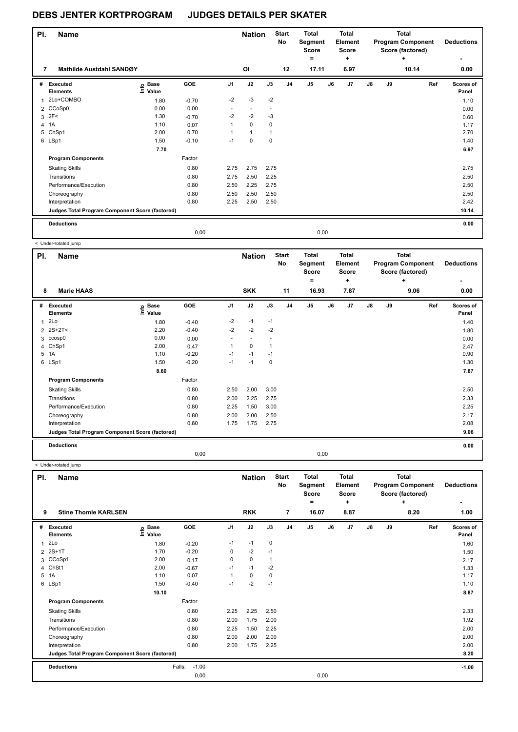| PI. | Name                                            |                              |         |                          | <b>Nation</b>  |             | <b>Start</b><br><b>No</b> | <b>Total</b><br>Segment<br><b>Score</b><br>۰ |      | Total<br>Element<br><b>Score</b><br>$\ddot{}$ |               |    | <b>Total</b><br><b>Program Component</b><br>Score (factored)<br>٠ | <b>Deductions</b><br>۰    |
|-----|-------------------------------------------------|------------------------------|---------|--------------------------|----------------|-------------|---------------------------|----------------------------------------------|------|-----------------------------------------------|---------------|----|-------------------------------------------------------------------|---------------------------|
| 7   | <b>Mathilde Austdahl SANDØY</b>                 |                              |         |                          | <b>OI</b>      |             | 12                        | 17.11                                        |      | 6.97                                          |               |    | 10.14                                                             | 0.00                      |
| #   | Executed<br><b>Elements</b>                     | <b>Base</b><br>١mfo<br>Value | GOE     | J <sub>1</sub>           | J2             | J3          | J <sub>4</sub>            | J <sub>5</sub>                               | J6   | J <sub>7</sub>                                | $\mathsf{J}8$ | J9 | Ref                                                               | <b>Scores of</b><br>Panel |
| 1   | 2Lo+COMBO                                       | 1.80                         | $-0.70$ | $-2$                     | $-3$           | $-2$        |                           |                                              |      |                                               |               |    |                                                                   | 1.10                      |
|     | 2 CCoSp0                                        | 0.00                         | 0.00    | $\overline{\phantom{a}}$ | $\blacksquare$ |             |                           |                                              |      |                                               |               |    |                                                                   | 0.00                      |
| 3   | 2F<                                             | 1.30                         | $-0.70$ | $-2$                     | $-2$           | $-3$        |                           |                                              |      |                                               |               |    |                                                                   | 0.60                      |
| 4   | 1A                                              | 1.10                         | 0.07    | 1                        | $\Omega$       | 0           |                           |                                              |      |                                               |               |    |                                                                   | 1.17                      |
| 5   | ChSp1                                           | 2.00                         | 0.70    | 1                        | $\mathbf{1}$   | 1           |                           |                                              |      |                                               |               |    |                                                                   | 2.70                      |
|     | 6 LSp1                                          | 1.50                         | $-0.10$ | $-1$                     | 0              | $\mathbf 0$ |                           |                                              |      |                                               |               |    |                                                                   | 1.40                      |
|     |                                                 | 7.70                         |         |                          |                |             |                           |                                              |      |                                               |               |    |                                                                   | 6.97                      |
|     | <b>Program Components</b>                       |                              | Factor  |                          |                |             |                           |                                              |      |                                               |               |    |                                                                   |                           |
|     | <b>Skating Skills</b>                           |                              | 0.80    | 2.75                     | 2.75           | 2.75        |                           |                                              |      |                                               |               |    |                                                                   | 2.75                      |
|     | Transitions                                     |                              | 0.80    | 2.75                     | 2.50           | 2.25        |                           |                                              |      |                                               |               |    |                                                                   | 2.50                      |
|     | Performance/Execution                           |                              | 0.80    | 2.50                     | 2.25           | 2.75        |                           |                                              |      |                                               |               |    |                                                                   | 2.50                      |
|     | Choreography                                    |                              | 0.80    | 2.50                     | 2.50           | 2.50        |                           |                                              |      |                                               |               |    |                                                                   | 2.50                      |
|     | Interpretation                                  |                              | 0.80    | 2.25                     | 2.50           | 2.50        |                           |                                              |      |                                               |               |    |                                                                   | 2.42                      |
|     | Judges Total Program Component Score (factored) |                              |         |                          |                |             |                           |                                              |      |                                               |               |    |                                                                   | 10.14                     |
|     | <b>Deductions</b>                               |                              |         |                          |                |             |                           |                                              |      |                                               |               |    |                                                                   | 0.00                      |
|     |                                                 |                              | 0.00    |                          |                |             |                           |                                              | 0.00 |                                               |               |    |                                                                   |                           |

< Under-rotated jump

| PI.            | <b>Name</b>                                     |                   |            |                | <b>Nation</b> |      | <b>Start</b><br><b>No</b> | <b>Total</b><br>Segment<br><b>Score</b><br>$=$ |    | <b>Total</b><br>Element<br><b>Score</b><br>٠ |    |    | Total<br><b>Program Component</b><br>Score (factored)<br>٠ | <b>Deductions</b>  |
|----------------|-------------------------------------------------|-------------------|------------|----------------|---------------|------|---------------------------|------------------------------------------------|----|----------------------------------------------|----|----|------------------------------------------------------------|--------------------|
| 8              | <b>Marie HAAS</b>                               |                   |            |                | <b>SKK</b>    |      | 11                        | 16.93                                          |    | 7.87                                         |    |    | 9.06                                                       | 0.00               |
| #              | <b>Executed</b><br><b>Elements</b>              | e Base<br>E Value | <b>GOE</b> | J <sub>1</sub> | J2            | J3   | J <sub>4</sub>            | J <sub>5</sub>                                 | J6 | J7                                           | J8 | J9 | Ref                                                        | Scores of<br>Panel |
| 1              | 2Lo                                             | 1.80              | $-0.40$    | $-2$           | $-1$          | $-1$ |                           |                                                |    |                                              |    |    |                                                            | 1.40               |
| $\overline{2}$ | 2S+2T<                                          | 2.20              | $-0.40$    | $-2$           | $-2$          | $-2$ |                           |                                                |    |                                              |    |    |                                                            | 1.80               |
|                | 3 ccosp0                                        | 0.00              | 0.00       |                |               |      |                           |                                                |    |                                              |    |    |                                                            | 0.00               |
|                | 4 ChSp1                                         | 2.00              | 0.47       | 1              | $\mathbf 0$   | 1    |                           |                                                |    |                                              |    |    |                                                            | 2.47               |
| 5              | 1A                                              | 1.10              | $-0.20$    | $-1$           | $-1$          | $-1$ |                           |                                                |    |                                              |    |    |                                                            | 0.90               |
|                | 6 LSp1                                          | 1.50              | $-0.20$    | $-1$           | $-1$          | 0    |                           |                                                |    |                                              |    |    |                                                            | 1.30               |
|                |                                                 | 8.60              |            |                |               |      |                           |                                                |    |                                              |    |    |                                                            | 7.87               |
|                | <b>Program Components</b>                       |                   | Factor     |                |               |      |                           |                                                |    |                                              |    |    |                                                            |                    |
|                | <b>Skating Skills</b>                           |                   | 0.80       | 2.50           | 2.00          | 3.00 |                           |                                                |    |                                              |    |    |                                                            | 2.50               |
|                | Transitions                                     |                   | 0.80       | 2.00           | 2.25          | 2.75 |                           |                                                |    |                                              |    |    |                                                            | 2.33               |
|                | Performance/Execution                           |                   | 0.80       | 2.25           | 1.50          | 3.00 |                           |                                                |    |                                              |    |    |                                                            | 2.25               |
|                | Choreography                                    |                   | 0.80       | 2.00           | 2.00          | 2.50 |                           |                                                |    |                                              |    |    |                                                            | 2.17               |
|                | Interpretation                                  |                   | 0.80       | 1.75           | 1.75          | 2.75 |                           |                                                |    |                                              |    |    |                                                            | 2.08               |
|                | Judges Total Program Component Score (factored) |                   |            |                |               |      |                           |                                                |    |                                              |    |    |                                                            | 9.06               |
|                | <b>Deductions</b>                               |                   |            |                |               |      |                           |                                                |    |                                              |    |    |                                                            | 0.00               |
|                |                                                 |                   | 0,00       |                |               |      |                           | 0,00                                           |    |                                              |    |    |                                                            |                    |

< Under-rotated jump

| PI.          | <b>Name</b>                                     |                            |                   |                | <b>Nation</b> |                | <b>Start</b><br><b>No</b> | Total<br>Segment<br><b>Score</b><br>= |    | <b>Total</b><br>Element<br><b>Score</b><br>÷ |               |    | <b>Total</b><br><b>Program Component</b><br>Score (factored)<br>÷ | <b>Deductions</b>  |
|--------------|-------------------------------------------------|----------------------------|-------------------|----------------|---------------|----------------|---------------------------|---------------------------------------|----|----------------------------------------------|---------------|----|-------------------------------------------------------------------|--------------------|
| 9            | <b>Stine Thomle KARLSEN</b>                     |                            |                   |                | <b>RKK</b>    |                | 7                         | 16.07                                 |    | 8.87                                         |               |    | 8.20                                                              | 1.00               |
| #            | <b>Executed</b><br><b>Elements</b>              | <b>Base</b><br>١m<br>Value | GOE               | J <sub>1</sub> | J2            | J3             | J <sub>4</sub>            | J <sub>5</sub>                        | J6 | J7                                           | $\mathsf{J}8$ | J9 | Ref                                                               | Scores of<br>Panel |
| $\mathbf{1}$ | 2Lo                                             | 1.80                       | $-0.20$           | $-1$           | $-1$          | 0              |                           |                                       |    |                                              |               |    |                                                                   | 1.60               |
| 2            | $2S+1T$                                         | 1.70                       | $-0.20$           | 0              | $-2$          | $-1$           |                           |                                       |    |                                              |               |    |                                                                   | 1.50               |
|              | 3 CCoSp1                                        | 2.00                       | 0.17              | 0              | $\mathbf 0$   | $\overline{1}$ |                           |                                       |    |                                              |               |    |                                                                   | 2.17               |
| 4            | ChSt1                                           | 2.00                       | $-0.67$           | $-1$           | $-1$          | $-2$           |                           |                                       |    |                                              |               |    |                                                                   | 1.33               |
| 5            | 1A                                              | 1.10                       | 0.07              | 1              | 0             | 0              |                           |                                       |    |                                              |               |    |                                                                   | 1.17               |
|              | 6 LSp1                                          | 1.50                       | $-0.40$           | $-1$           | $-2$          | $-1$           |                           |                                       |    |                                              |               |    |                                                                   | 1.10               |
|              |                                                 | 10.10                      |                   |                |               |                |                           |                                       |    |                                              |               |    |                                                                   | 8.87               |
|              | <b>Program Components</b>                       |                            | Factor            |                |               |                |                           |                                       |    |                                              |               |    |                                                                   |                    |
|              | <b>Skating Skills</b>                           |                            | 0.80              | 2.25           | 2.25          | 2.50           |                           |                                       |    |                                              |               |    |                                                                   | 2.33               |
|              | Transitions                                     |                            | 0.80              | 2.00           | 1.75          | 2.00           |                           |                                       |    |                                              |               |    |                                                                   | 1.92               |
|              | Performance/Execution                           |                            | 0.80              | 2.25           | 1.50          | 2.25           |                           |                                       |    |                                              |               |    |                                                                   | 2.00               |
|              | Choreography                                    |                            | 0.80              | 2.00           | 2.00          | 2.00           |                           |                                       |    |                                              |               |    |                                                                   | 2.00               |
|              | Interpretation                                  |                            | 0.80              | 2.00           | 1.75          | 2.25           |                           |                                       |    |                                              |               |    |                                                                   | 2.00               |
|              | Judges Total Program Component Score (factored) |                            |                   |                |               |                |                           |                                       |    |                                              |               |    |                                                                   | 8.20               |
|              | <b>Deductions</b>                               |                            | $-1.00$<br>Falls: |                |               |                |                           |                                       |    |                                              |               |    |                                                                   | $-1.00$            |
|              |                                                 |                            | 0,00              |                |               |                |                           | 0,00                                  |    |                                              |               |    |                                                                   |                    |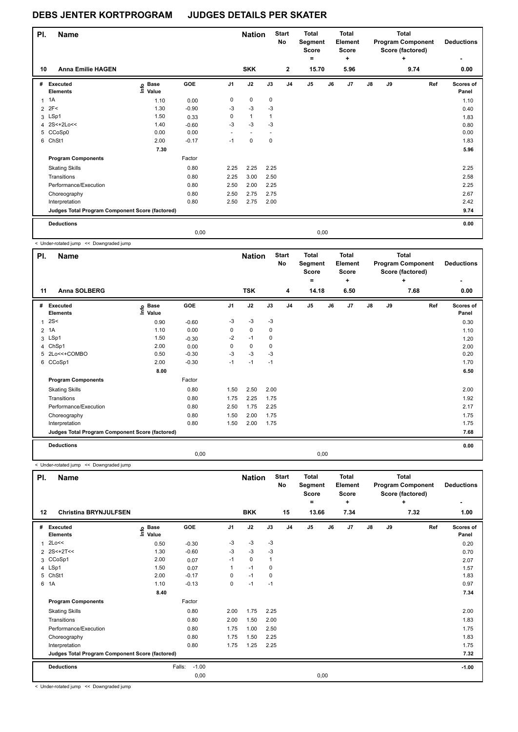| PI.            | <b>Name</b>                                     |                              |            |                | <b>Nation</b>            |             | <b>Start</b><br><b>No</b> | <b>Total</b><br>Segment<br><b>Score</b><br>٠ |    | Total<br>Element<br><b>Score</b><br>÷ |               |    | Total<br><b>Program Component</b><br>Score (factored)<br>٠ | <b>Deductions</b>  |
|----------------|-------------------------------------------------|------------------------------|------------|----------------|--------------------------|-------------|---------------------------|----------------------------------------------|----|---------------------------------------|---------------|----|------------------------------------------------------------|--------------------|
| 10             | <b>Anna Emilie HAGEN</b>                        |                              |            |                | <b>SKK</b>               |             | $\overline{2}$            | 15.70                                        |    | 5.96                                  |               |    | 9.74                                                       | 0.00               |
| #              | Executed<br><b>Elements</b>                     | <b>Base</b><br>١mfo<br>Value | <b>GOE</b> | J <sub>1</sub> | J2                       | J3          | J <sub>4</sub>            | J <sub>5</sub>                               | J6 | J <sub>7</sub>                        | $\mathsf{J}8$ | J9 | Ref                                                        | Scores of<br>Panel |
| 1              | 1A                                              | 1.10                         | 0.00       | 0              | $\mathbf 0$              | 0           |                           |                                              |    |                                       |               |    |                                                            | 1.10               |
| $\overline{2}$ | 2F<                                             | 1.30                         | $-0.90$    | -3             | $-3$                     | $-3$        |                           |                                              |    |                                       |               |    |                                                            | 0.40               |
|                | 3 LSp1                                          | 1.50                         | 0.33       | 0              | $\mathbf{1}$             | 1           |                           |                                              |    |                                       |               |    |                                                            | 1.83               |
|                | 4 2S<+2Lo<<                                     | 1.40                         | $-0.60$    | $-3$           | $-3$                     | $-3$        |                           |                                              |    |                                       |               |    |                                                            | 0.80               |
|                | 5 CCoSp0                                        | 0.00                         | 0.00       |                | $\overline{\phantom{a}}$ |             |                           |                                              |    |                                       |               |    |                                                            | 0.00               |
| 6              | ChSt1                                           | 2.00                         | $-0.17$    | $-1$           | $\mathbf 0$              | $\mathbf 0$ |                           |                                              |    |                                       |               |    |                                                            | 1.83               |
|                |                                                 | 7.30                         |            |                |                          |             |                           |                                              |    |                                       |               |    |                                                            | 5.96               |
|                | <b>Program Components</b>                       |                              | Factor     |                |                          |             |                           |                                              |    |                                       |               |    |                                                            |                    |
|                | <b>Skating Skills</b>                           |                              | 0.80       | 2.25           | 2.25                     | 2.25        |                           |                                              |    |                                       |               |    |                                                            | 2.25               |
|                | Transitions                                     |                              | 0.80       | 2.25           | 3.00                     | 2.50        |                           |                                              |    |                                       |               |    |                                                            | 2.58               |
|                | Performance/Execution                           |                              | 0.80       | 2.50           | 2.00                     | 2.25        |                           |                                              |    |                                       |               |    |                                                            | 2.25               |
|                | Choreography                                    |                              | 0.80       | 2.50           | 2.75                     | 2.75        |                           |                                              |    |                                       |               |    |                                                            | 2.67               |
|                | Interpretation                                  |                              | 0.80       | 2.50           | 2.75                     | 2.00        |                           |                                              |    |                                       |               |    |                                                            | 2.42               |
|                | Judges Total Program Component Score (factored) |                              |            |                |                          |             |                           |                                              |    |                                       |               |    |                                                            | 9.74               |
|                | <b>Deductions</b>                               |                              |            |                |                          |             |                           |                                              |    |                                       |               |    |                                                            | 0.00               |
|                |                                                 |                              | 0,00       |                |                          |             |                           | 0,00                                         |    |                                       |               |    |                                                            |                    |

< Under-rotated jump << Downgraded jump

| PI.          | <b>Name</b>                                     |                            |         |      | <b>Nation</b> |      | <b>Start</b><br><b>No</b> | <b>Total</b><br>Segment<br><b>Score</b><br>= |      | <b>Total</b><br>Element<br><b>Score</b><br>÷ |               |    | <b>Total</b><br><b>Program Component</b><br>Score (factored)<br>÷ | <b>Deductions</b>  |
|--------------|-------------------------------------------------|----------------------------|---------|------|---------------|------|---------------------------|----------------------------------------------|------|----------------------------------------------|---------------|----|-------------------------------------------------------------------|--------------------|
| 11           | <b>Anna SOLBERG</b>                             |                            |         |      | <b>TSK</b>    |      | 4                         | 14.18                                        |      | 6.50                                         |               |    | 7.68                                                              | 0.00               |
| #            | Executed<br><b>Elements</b>                     | <b>Base</b><br>١m<br>Value | GOE     | J1   | J2            | J3   | J <sub>4</sub>            | J <sub>5</sub>                               | J6   | J7                                           | $\mathsf{J}8$ | J9 | Ref                                                               | Scores of<br>Panel |
| $\mathbf{1}$ | 2S<                                             | 0.90                       | $-0.60$ | $-3$ | $-3$          | $-3$ |                           |                                              |      |                                              |               |    |                                                                   | 0.30               |
|              | 2 1A                                            | 1.10                       | 0.00    | 0    | $\mathbf 0$   | 0    |                           |                                              |      |                                              |               |    |                                                                   | 1.10               |
|              | 3 LSp1                                          | 1.50                       | $-0.30$ | $-2$ | $-1$          | 0    |                           |                                              |      |                                              |               |    |                                                                   | 1.20               |
| 4            | ChSp1                                           | 2.00                       | 0.00    | 0    | $\mathbf 0$   | 0    |                           |                                              |      |                                              |               |    |                                                                   | 2.00               |
|              | 5 2Lo<<+COMBO                                   | 0.50                       | $-0.30$ | $-3$ | $-3$          | $-3$ |                           |                                              |      |                                              |               |    |                                                                   | 0.20               |
|              | 6 CCoSp1                                        | 2.00                       | $-0.30$ | $-1$ | $-1$          | $-1$ |                           |                                              |      |                                              |               |    |                                                                   | 1.70               |
|              |                                                 | 8.00                       |         |      |               |      |                           |                                              |      |                                              |               |    |                                                                   | 6.50               |
|              | <b>Program Components</b>                       |                            | Factor  |      |               |      |                           |                                              |      |                                              |               |    |                                                                   |                    |
|              | <b>Skating Skills</b>                           |                            | 0.80    | 1.50 | 2.50          | 2.00 |                           |                                              |      |                                              |               |    |                                                                   | 2.00               |
|              | Transitions                                     |                            | 0.80    | 1.75 | 2.25          | 1.75 |                           |                                              |      |                                              |               |    |                                                                   | 1.92               |
|              | Performance/Execution                           |                            | 0.80    | 2.50 | 1.75          | 2.25 |                           |                                              |      |                                              |               |    |                                                                   | 2.17               |
|              | Choreography                                    |                            | 0.80    | 1.50 | 2.00          | 1.75 |                           |                                              |      |                                              |               |    |                                                                   | 1.75               |
|              | Interpretation                                  |                            | 0.80    | 1.50 | 2.00          | 1.75 |                           |                                              |      |                                              |               |    |                                                                   | 1.75               |
|              | Judges Total Program Component Score (factored) |                            |         |      |               |      |                           |                                              |      |                                              |               |    |                                                                   | 7.68               |
|              | <b>Deductions</b>                               |                            |         |      |               |      |                           |                                              |      |                                              |               |    |                                                                   | 0.00               |
|              |                                                 |                            | 0.00    |      |               |      |                           |                                              | 0,00 |                                              |               |    |                                                                   |                    |

< Under-rotated jump << Downgraded jump

| PI. | <b>Name</b>                                     |                            |                   |                | <b>Nation</b> |      | <b>Start</b><br>No | <b>Total</b><br>Segment<br><b>Score</b> |    | <b>Total</b><br>Element<br>Score |               |    | <b>Total</b><br><b>Program Component</b><br>Score (factored) | <b>Deductions</b>  |
|-----|-------------------------------------------------|----------------------------|-------------------|----------------|---------------|------|--------------------|-----------------------------------------|----|----------------------------------|---------------|----|--------------------------------------------------------------|--------------------|
|     |                                                 |                            |                   |                |               |      |                    | ۰                                       |    | ÷                                |               |    | ÷                                                            |                    |
| 12  | <b>Christina BRYNJULFSEN</b>                    |                            |                   |                | <b>BKK</b>    |      | 15                 | 13.66                                   |    | 7.34                             |               |    | 7.32                                                         | 1.00               |
| #   | Executed<br><b>Elements</b>                     | e Base<br>E Value<br>Value | GOE               | J <sub>1</sub> | J2            | J3   | J <sub>4</sub>     | J <sub>5</sub>                          | J6 | J7                               | $\mathsf{J}8$ | J9 | Ref                                                          | Scores of<br>Panel |
| 1   | 2Lo<<                                           | 0.50                       | $-0.30$           | -3             | $-3$          | -3   |                    |                                         |    |                                  |               |    |                                                              | 0.20               |
|     | 2 2S<+2T<<                                      | 1.30                       | $-0.60$           | $-3$           | $-3$          | $-3$ |                    |                                         |    |                                  |               |    |                                                              | 0.70               |
|     | 3 CCoSp1                                        | 2.00                       | 0.07              | $-1$           | $\mathbf 0$   |      |                    |                                         |    |                                  |               |    |                                                              | 2.07               |
|     | 4 LSp1                                          | 1.50                       | 0.07              |                | $-1$          | 0    |                    |                                         |    |                                  |               |    |                                                              | 1.57               |
|     | 5 ChSt1                                         | 2.00                       | $-0.17$           | 0              | $-1$          | 0    |                    |                                         |    |                                  |               |    |                                                              | 1.83               |
|     | 6 1A                                            | 1.10                       | $-0.13$           | 0              | $-1$          | $-1$ |                    |                                         |    |                                  |               |    |                                                              | 0.97               |
|     |                                                 | 8.40                       |                   |                |               |      |                    |                                         |    |                                  |               |    |                                                              | 7.34               |
|     | <b>Program Components</b>                       |                            | Factor            |                |               |      |                    |                                         |    |                                  |               |    |                                                              |                    |
|     | <b>Skating Skills</b>                           |                            | 0.80              | 2.00           | 1.75          | 2.25 |                    |                                         |    |                                  |               |    |                                                              | 2.00               |
|     | Transitions                                     |                            | 0.80              | 2.00           | 1.50          | 2.00 |                    |                                         |    |                                  |               |    |                                                              | 1.83               |
|     | Performance/Execution                           |                            | 0.80              | 1.75           | 1.00          | 2.50 |                    |                                         |    |                                  |               |    |                                                              | 1.75               |
|     | Choreography                                    |                            | 0.80              | 1.75           | 1.50          | 2.25 |                    |                                         |    |                                  |               |    |                                                              | 1.83               |
|     | Interpretation                                  |                            | 0.80              | 1.75           | 1.25          | 2.25 |                    |                                         |    |                                  |               |    |                                                              | 1.75               |
|     | Judges Total Program Component Score (factored) |                            |                   |                |               |      |                    |                                         |    |                                  |               |    |                                                              | 7.32               |
|     | <b>Deductions</b>                               |                            | $-1.00$<br>Falls: |                |               |      |                    |                                         |    |                                  |               |    |                                                              | $-1.00$            |
|     |                                                 |                            | 0,00              |                |               |      |                    | 0,00                                    |    |                                  |               |    |                                                              |                    |

< Under-rotated jump << Downgraded jump